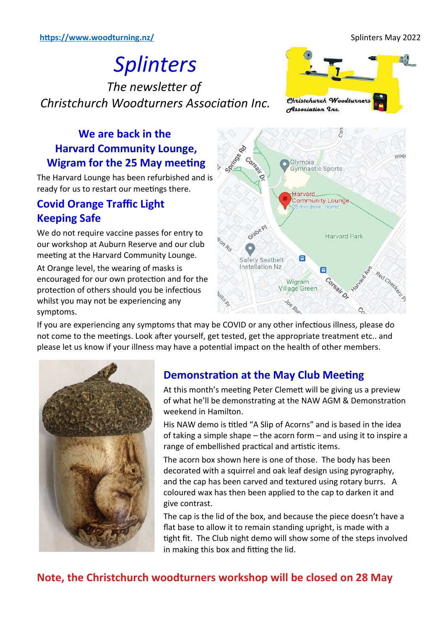# *Splinters* Splinters The newsletter of *Christchurch Woodturners Association Inc.* Christchurch Woodturners association is a series of the Incident of the Incident Series of the Inch of the Inch of the Inch of the Inch <br>The Inch of the Inch of the Inch of the Inch of the Inch of the Inch of the Inch of the Inch of the Inch of th



# **We are back in the Harvard Community Lounge, Wigram for the 25 May meeting**

The Harvard Lounge has been refurbished and is ready for us to restart our meetings there.

# **Covid Orange Traffic Light Keeping Safe**

We do not require vaccine passes for entry to our workshop at Auburn Reserve and our club meeting at the Harvard Community Lounge.

At Orange level, the wearing of masks is encouraged for our own protection and for the protection of others should you be infectious whilst you may not be experiencing any symptoms.



If you are experiencing any symptoms that may be COVID or any other infectious illness, please do not come to the meetings. Look after yourself, get tested, get the appropriate treatment etc.. and please let us know if your illness may have a potential impact on the health of other members.



# **Demonstration at the May Club Meeting**

At this month's meeting Peter Clemett will be giving us a preview of what he'll be demonstrating at the NAW AGM & Demonstration weekend in Hamilton.

His NAW demo is titled "A Slip of Acorns" and is based in the idea of taking a simple shape – the acorn form – and using it to inspire a range of embellished practical and artistic items.

The acorn box shown here is one of those. The body has been decorated with a squirrel and oak leaf design using pyrography, and the cap has been carved and textured using rotary burrs. A coloured wax has then been applied to the cap to darken it and give contrast.

The cap is the lid of the box, and because the piece doesn't have a flat base to allow it to remain standing upright, is made with a tight fit. The Club night demo will show some of the steps involved in making this box and fitting the lid.

# **Note, the Christchurch woodturners workshop will be closed on 28 May**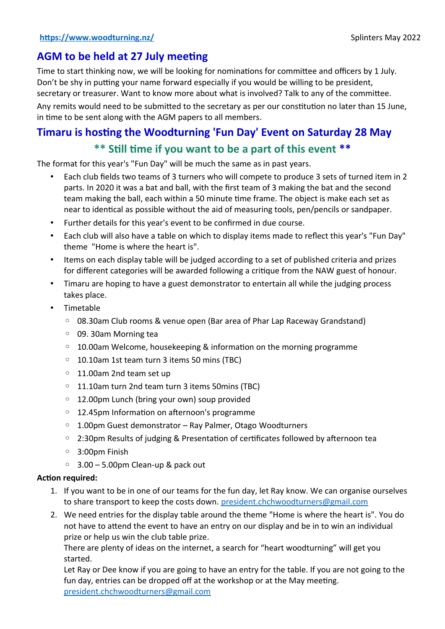# **AGM to be held at 27 July meeting**

Time to start thinking now, we will be looking for nominations for committee and officers by 1 July. Don't be shy in putting your name forward especially if you would be willing to be president, secretary or treasurer. Want to know more about what is involved? Talk to any of the committee.

Any remits would need to be submitted to the secretary as per our constitution no later than 15 June, in time to be sent along with the AGM papers to all members.

# **Timaru is hosting the Woodturning 'Fun Day' Event on Saturday 28 May**

# **\*\* Still time if you want to be a part of this event \*\***

The format for this year's "Fun Day" will be much the same as in past years.

- Each club fields two teams of 3 turners who will compete to produce 3 sets of turned item in 2 parts. In 2020 it was a bat and ball, with the first team of 3 making the bat and the second team making the ball, each within a 50 minute time frame. The object is make each set as near to identical as possible without the aid of measuring tools, pen/pencils or sandpaper.
- Further details for this year's event to be confirmed in due course.
- Each club will also have a table on which to display items made to reflect this year's "Fun Day" theme "Home is where the heart is".
- Items on each display table will be judged according to a set of published criteria and prizes for different categories will be awarded following a critique from the NAW guest of honour.
- Timaru are hoping to have a guest demonstrator to entertain all while the judging process takes place.
- Timetable
	- 08.30am Club rooms & venue open (Bar area of Phar Lap Raceway Grandstand)
	- 09. 30am Morning tea
	- 10.00am Welcome, housekeeping & information on the morning programme
	- 10.10am 1st team turn 3 items 50 mins (TBC)
	- 11.00am 2nd team set up
	- 11.10am turn 2nd team turn 3 items 50mins (TBC)
	- 12.00pm Lunch (bring your own) soup provided
	- 12.45pm Information on afternoon's programme
	- 1.00pm Guest demonstrator Ray Palmer, Otago Woodturners
	- 2:30pm Results of judging & Presentation of certificates followed by afternoon tea
	- 3:00pm Finish
	- 3.00 5.00pm Clean-up & pack out

### **Action required:**

- 1. If you want to be in one of our teams for the fun day, let Ray know. We can organise ourselves to share transport to keep the costs down. [president.chchwoodturners@gmail.com](mailto:president.chchwoodturners@gmail.com)
- 2. We need entries for the display table around the theme "Home is where the heart is". You do not have to attend the event to have an entry on our display and be in to win an individual prize or help us win the club table prize.

There are plenty of ideas on the internet, a search for "heart woodturning" will get you started.

Let Ray or Dee know if you are going to have an entry for the table. If you are not going to the fun day, entries can be dropped off at the workshop or at the May meeting. [president.chchwoodturners@gmail.com](mailto:president.chchwoodturners@gmail.com)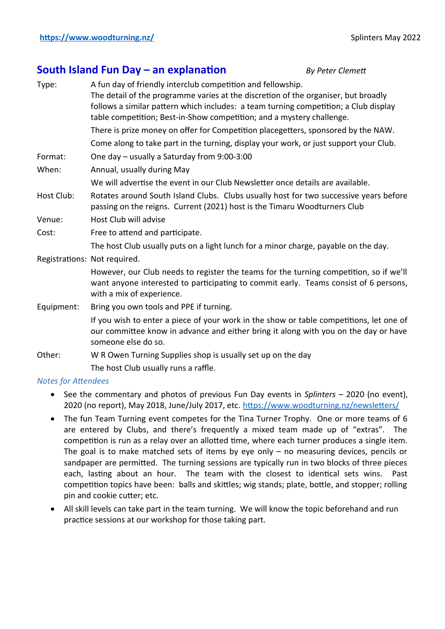### **South Island Fun Day – an explanation** *By Peter Clemett*

Type: A fun day of friendly interclub competition and fellowship. The detail of the programme varies at the discretion of the organiser, but broadly follows a similar pattern which includes: a team turning competition; a Club display table competition; Best-in-Show competition; and a mystery challenge. There is prize money on offer for Competition placegetters, sponsored by the NAW. Come along to take part in the turning, display your work, or just support your Club. Format: One day – usually a Saturday from 9:00-3:00 When: Annual, usually during May We will advertise the event in our Club Newsletter once details are available. Host Club: Rotates around South Island Clubs. Clubs usually host for two successive years before passing on the reigns. Current (2021) host is the Timaru Woodturners Club Venue: Host Club will advise Cost: Free to attend and participate. The host Club usually puts on a light lunch for a minor charge, payable on the day. Registrations: Not required. However, our Club needs to register the teams for the turning competition, so if we'll want anyone interested to participating to commit early. Teams consist of 6 persons, with a mix of experience. Equipment: Bring you own tools and PPE if turning. If you wish to enter a piece of your work in the show or table competitions, let one of our committee know in advance and either bring it along with you on the day or have someone else do so. Other: W R Owen Turning Supplies shop is usually set up on the day The host Club usually runs a raffle.

*Notes for Attendees*

- See the commentary and photos of previous Fun Day events in *Splinters* 2020 (no event), 2020 (no report), May 2018, June/July 2017, etc. <https://www.woodturning.nz/newsletters/>
- The fun Team Turning event competes for the Tina Turner Trophy. One or more teams of 6 are entered by Clubs, and there's frequently a mixed team made up of "extras". The competition is run as a relay over an allotted time, where each turner produces a single item. The goal is to make matched sets of items by eye only – no measuring devices, pencils or sandpaper are permitted. The turning sessions are typically run in two blocks of three pieces each, lasting about an hour. The team with the closest to identical sets wins. Past competition topics have been: balls and skittles; wig stands; plate, bottle, and stopper; rolling pin and cookie cutter; etc.
- All skill levels can take part in the team turning. We will know the topic beforehand and run practice sessions at our workshop for those taking part.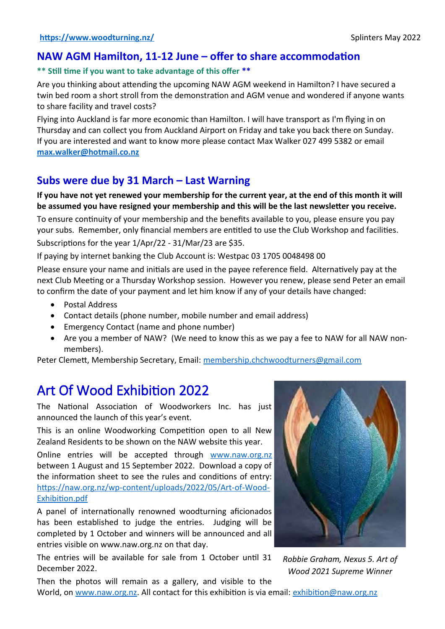### **NAW AGM Hamilton, 11-12 June – offer to share accommodation**

### **\*\* Still time if you want to take advantage of this offer \*\***

Are you thinking about attending the upcoming NAW AGM weekend in Hamilton? I have secured a twin bed room a short stroll from the demonstration and AGM venue and wondered if anyone wants to share facility and travel costs?

Flying into Auckland is far more economic than Hamilton. I will have transport as I'm flying in on Thursday and can collect you from Auckland Airport on Friday and take you back there on Sunday. If you are interested and want to know more please contact Max Walker 027 499 5382 or email **[max.walker@hotmail.co.nz](mailto:max.walker@hotmail.co.nz)**

### **Subs were due by 31 March – Last Warning**

**If you have not yet renewed your membership for the current year, at the end of this month it will be assumed you have resigned your membership and this will be the last newsletter you receive.**

To ensure continuity of your membership and the benefits available to you, please ensure you pay your subs. Remember, only financial members are entitled to use the Club Workshop and facilities. Subscriptions for the year 1/Apr/22 - 31/Mar/23 are \$35.

If paying by internet banking the Club Account is: Westpac 03 1705 0048498 00

Please ensure your name and initials are used in the payee reference field. Alternatively pay at the next Club Meeting or a Thursday Workshop session. However you renew, please send Peter an email to confirm the date of your payment and let him know if any of your details have changed:

- Postal Address
- Contact details (phone number, mobile number and email address)
- Emergency Contact (name and phone number)
- Are you a member of NAW? (We need to know this as we pay a fee to NAW for all NAW nonmembers).

Peter Clemett, Membership Secretary, Email: [membership.chchwoodturners@gmail.com](mailto:membership.chchwoodturners@gmail.com)

# Art Of Wood Exhibition 2022

The National Association of Woodworkers Inc. has just announced the launch of this year's event.

This is an online Woodworking Competition open to all New Zealand Residents to be shown on the NAW website this year.

Online entries will be accepted through [www.naw.org.nz](https://naw.org.nz/) between 1 August and 15 September 2022. Download a copy of the information sheet to see the rules and conditions of entry: [https://naw.org.nz/wp-content/uploads/2022/05/Art-of-Wood-](https://naw.org.nz/wp-content/uploads/2022/05/Art-of-Wood-Exhibition.pdf)[Exhibition.pdf](https://naw.org.nz/wp-content/uploads/2022/05/Art-of-Wood-Exhibition.pdf)

A panel of internationally renowned woodturning aficionados has been established to judge the entries. Judging will be completed by 1 October and winners will be announced and all entries visible on www.naw.org.nz on that day.

The entries will be available for sale from 1 October until 31 December 2022.



*Robbie Graham, Nexus 5. Art of Wood 2021 Supreme Winner*

Then the photos will remain as a gallery, and visible to the World, on [www.naw.org.nz](http://www.naw.org.nz/). All contact for this exhibition is via email: [exhibition@naw.org.nz](mailto:exhibition@naw.org.nz)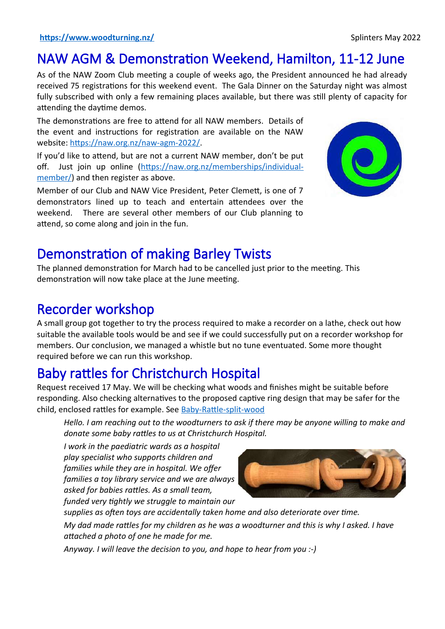# NAW AGM & Demonstration Weekend, Hamilton, 11-12 June

As of the NAW Zoom Club meeting a couple of weeks ago, the President announced he had already received 75 registrations for this weekend event. The Gala Dinner on the Saturday night was almost fully subscribed with only a few remaining places available, but there was still plenty of capacity for attending the daytime demos.

The demonstrations are free to attend for all NAW members. Details of the event and instructions for registration are available on the NAW website: [https://naw.org.nz/naw-agm-2022/.](https://naw.org.nz/naw-agm-2022/)

If you'd like to attend, but are not a current NAW member, don't be put off. Just join up online [\(https://naw.org.nz/memberships/individual](https://naw.org.nz/memberships/individual-member/)[member/\)](https://naw.org.nz/memberships/individual-member/) and then register as above.

Member of our Club and NAW Vice President, Peter Clemett, is one of 7 demonstrators lined up to teach and entertain attendees over the weekend. There are several other members of our Club planning to attend, so come along and join in the fun.



# Demonstration of making Barley Twists

The planned demonstration for March had to be cancelled just prior to the meeting. This demonstration will now take place at the June meeting.

# Recorder workshop

A small group got together to try the process required to make a recorder on a lathe, check out how suitable the available tools would be and see if we could successfully put on a recorder workshop for members. Our conclusion, we managed a whistle but no tune eventuated. Some more thought required before we can run this workshop.

# Baby rattles for Christchurch Hospital

Request received 17 May. We will be checking what woods and finishes might be suitable before responding. Also checking alternatives to the proposed captive ring design that may be safer for the child, enclosed rattles for example. See [Baby-Rattle-split-wood](https://sawg.org.nz/sawg/wp-content/uploads/2020/10/Baby-Rattle-split-wood.pdf)

*Hello. I am reaching out to the woodturners to ask if there may be anyone willing to make and donate some baby rattles to us at Christchurch Hospital.*

*I work in the paediatric wards as a hospital play specialist who supports children and families while they are in hospital. We offer families a toy library service and we are always asked for babies rattles. As a small team, funded very tightly we struggle to maintain our*



*supplies as often toys are accidentally taken home and also deteriorate over time.*

*My dad made rattles for my children as he was a woodturner and this is why I asked. I have attached a photo of one he made for me.*

*Anyway. I will leave the decision to you, and hope to hear from you :-)*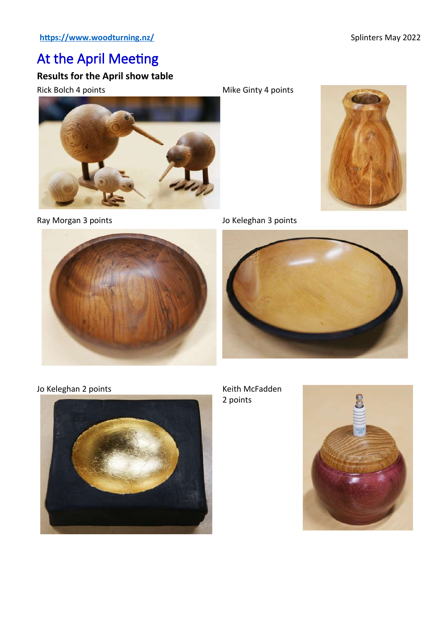# At the April Meeting

### **Results for the April show table**





Rick Bolch 4 points **Mike Ginty 4 points** Mike Ginty 4 points



Ray Morgan 3 points **Access 12 and 7 and 7 and 7 and 7 and 7 and 7 and 7 and 7 and 7 and 7 and 7 and 7 and 7 and 7 and 7 and 7 and 7 and 7 and 7 and 7 and 7 and 7 and 7 and 7 and 7 and 7 and 7 and 7 and 7 and 7 and 7 and 7** 



Jo Keleghan 2 points **Keith McFadden** Keith McFadden



2 points

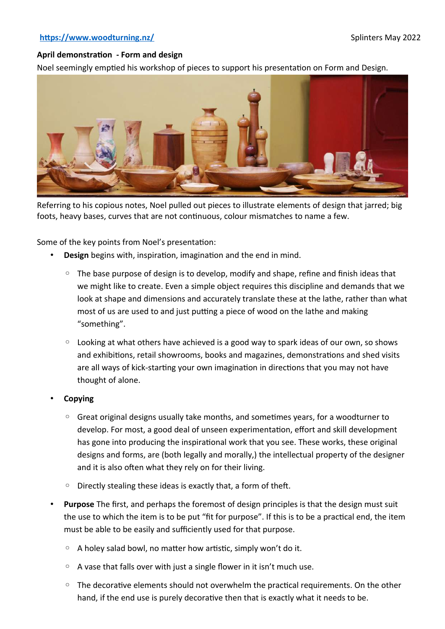#### **<https://www.woodturning.nz/>** Splinters May 2022

#### **April demonstration - Form and design**

Noel seemingly emptied his workshop of pieces to support his presentation on Form and Design.



Referring to his copious notes, Noel pulled out pieces to illustrate elements of design that jarred; big foots, heavy bases, curves that are not continuous, colour mismatches to name a few.

Some of the key points from Noel's presentation:

- **Design** begins with, inspiration, imagination and the end in mind.
	- The base purpose of design is to develop, modify and shape, refine and finish ideas that we might like to create. Even a simple object requires this discipline and demands that we look at shape and dimensions and accurately translate these at the lathe, rather than what most of us are used to and just putting a piece of wood on the lathe and making "something".
	- Looking at what others have achieved is a good way to spark ideas of our own, so shows and exhibitions, retail showrooms, books and magazines, demonstrations and shed visits are all ways of kick-starting your own imagination in directions that you may not have thought of alone.
- **Copying**
	- Great original designs usually take months, and sometimes years, for a woodturner to develop. For most, a good deal of unseen experimentation, effort and skill development has gone into producing the inspirational work that you see. These works, these original designs and forms, are (both legally and morally,) the intellectual property of the designer and it is also often what they rely on for their living.
	- Directly stealing these ideas is exactly that, a form of theft.
- **Purpose** The first, and perhaps the foremost of design principles is that the design must suit the use to which the item is to be put "fit for purpose". If this is to be a practical end, the item must be able to be easily and sufficiently used for that purpose.
	- A holey salad bowl, no matter how artistic, simply won't do it.
	- A vase that falls over with just a single flower in it isn't much use.
	- The decorative elements should not overwhelm the practical requirements. On the other hand, if the end use is purely decorative then that is exactly what it needs to be.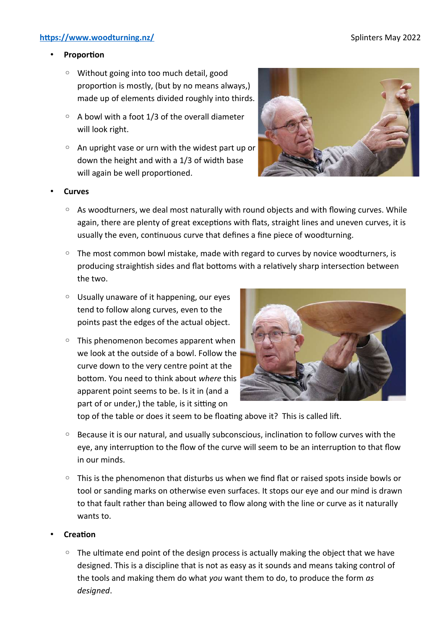#### **<https://www.woodturning.nz/>** Splinters May 2022

### • **Proportion**

- Without going into too much detail, good proportion is mostly, (but by no means always,) made up of elements divided roughly into thirds.
- $\circ$  A bowl with a foot 1/3 of the overall diameter will look right.
- An upright vase or urn with the widest part up or down the height and with a 1/3 of width base will again be well proportioned.



#### • **Curves**

- As woodturners, we deal most naturally with round objects and with flowing curves. While again, there are plenty of great exceptions with flats, straight lines and uneven curves, it is usually the even, continuous curve that defines a fine piece of woodturning.
- The most common bowl mistake, made with regard to curves by novice woodturners, is producing straightish sides and flat bottoms with a relatively sharp intersection between the two.
- Usually unaware of it happening, our eyes tend to follow along curves, even to the points past the edges of the actual object.
- This phenomenon becomes apparent when we look at the outside of a bowl. Follow the curve down to the very centre point at the bottom. You need to think about *where* this apparent point seems to be. Is it in (and a part of or under,) the table, is it sitting on



top of the table or does it seem to be floating above it? This is called lift.

- Because it is our natural, and usually subconscious, inclination to follow curves with the eye, any interruption to the flow of the curve will seem to be an interruption to that flow in our minds.
- This is the phenomenon that disturbs us when we find flat or raised spots inside bowls or tool or sanding marks on otherwise even surfaces. It stops our eye and our mind is drawn to that fault rather than being allowed to flow along with the line or curve as it naturally wants to.

#### • **Creation**

◦ The ultimate end point of the design process is actually making the object that we have designed. This is a discipline that is not as easy as it sounds and means taking control of the tools and making them do what *you* want them to do, to produce the form *as designed*.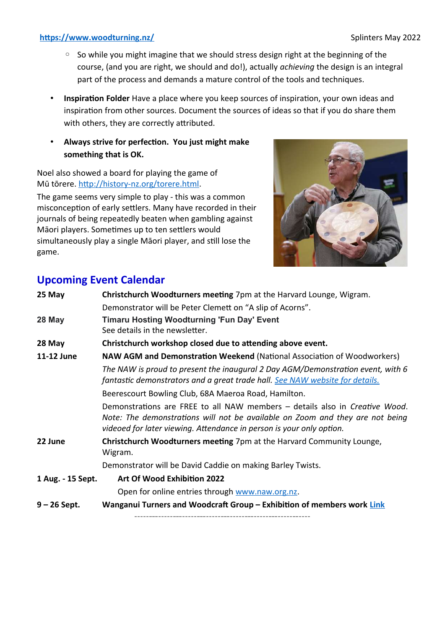### **<https://www.woodturning.nz/>** Splinters May 2022

- So while you might imagine that we should stress design right at the beginning of the course, (and you are right, we should and do!), actually *achieving* the design is an integral part of the process and demands a mature control of the tools and techniques.
- **Inspiration Folder** Have a place where you keep sources of inspiration, your own ideas and inspiration from other sources. Document the sources of ideas so that if you do share them with others, they are correctly attributed.
- **Always strive for perfection. You just might make something that is OK.**

Noel also showed a board for playing the game of Mū tōrere.<http://history-nz.org/torere.html>.

The game seems very simple to play - this was a common misconception of early settlers. Many have recorded in their journals of being repeatedly beaten when gambling against Māori players. Sometimes up to ten settlers would simultaneously play a single Māori player, and still lose the game.



## **Upcoming Event Calendar**

| 25 May            | Christchurch Woodturners meeting 7pm at the Harvard Lounge, Wigram.                                                                                                                                                                  |  |  |  |
|-------------------|--------------------------------------------------------------------------------------------------------------------------------------------------------------------------------------------------------------------------------------|--|--|--|
|                   |                                                                                                                                                                                                                                      |  |  |  |
|                   | Demonstrator will be Peter Clemett on "A slip of Acorns".                                                                                                                                                                            |  |  |  |
| 28 May            | <b>Timaru Hosting Woodturning 'Fun Day' Event</b><br>See details in the newsletter.                                                                                                                                                  |  |  |  |
| 28 May            | Christchurch workshop closed due to attending above event.                                                                                                                                                                           |  |  |  |
| 11-12 June        | <b>NAW AGM and Demonstration Weekend (National Association of Woodworkers)</b>                                                                                                                                                       |  |  |  |
|                   | The NAW is proud to present the inaugural 2 Day AGM/Demonstration event, with 6<br>fantastic demonstrators and a great trade hall. See NAW website for details.                                                                      |  |  |  |
|                   | Beerescourt Bowling Club, 68A Maeroa Road, Hamilton.                                                                                                                                                                                 |  |  |  |
|                   | Demonstrations are FREE to all NAW members - details also in Creative Wood.<br>Note: The demonstrations will not be available on Zoom and they are not being<br>videoed for later viewing. Attendance in person is your only option. |  |  |  |
| 22 June           | Christchurch Woodturners meeting 7pm at the Harvard Community Lounge,<br>Wigram.                                                                                                                                                     |  |  |  |
|                   | Demonstrator will be David Caddie on making Barley Twists.                                                                                                                                                                           |  |  |  |
| 1 Aug. - 15 Sept. | Art Of Wood Exhibition 2022                                                                                                                                                                                                          |  |  |  |
|                   | Open for online entries through www.naw.org.nz.                                                                                                                                                                                      |  |  |  |
| $9 - 26$ Sept.    | Wanganui Turners and Woodcraft Group - Exhibition of members work Link                                                                                                                                                               |  |  |  |
|                   |                                                                                                                                                                                                                                      |  |  |  |